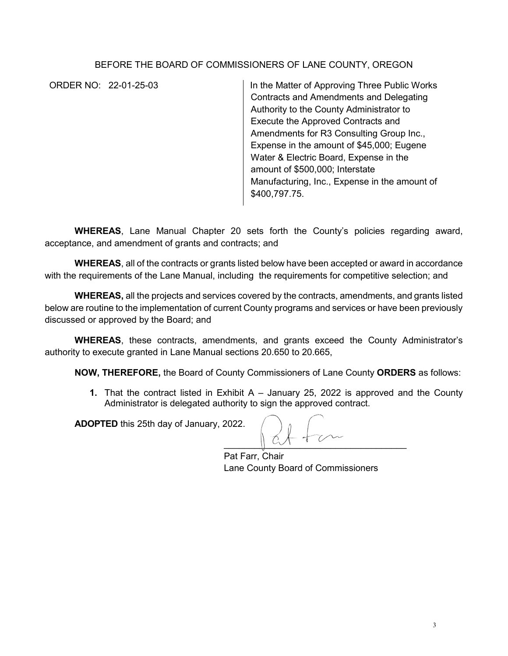## BEFORE THE BOARD OF COMMISSIONERS OF LANE COUNTY, OREGON

ORDER NO: 22-01-25-03 In the Matter of Approving Three Public Works Contracts and Amendments and Delegating Authority to the County Administrator to Execute the Approved Contracts and Amendments for R3 Consulting Group Inc., Expense in the amount of \$45,000; Eugene Water & Electric Board, Expense in the amount of \$500,000; Interstate Manufacturing, Inc., Expense in the amount of \$400,797.75.

**WHEREAS**, Lane Manual Chapter 20 sets forth the County's policies regarding award, acceptance, and amendment of grants and contracts; and

**WHEREAS**, all of the contracts or grants listed below have been accepted or award in accordance with the requirements of the Lane Manual, including the requirements for competitive selection; and

**WHEREAS,** all the projects and services covered by the contracts, amendments, and grants listed below are routine to the implementation of current County programs and services or have been previously discussed or approved by the Board; and

**WHEREAS**, these contracts, amendments, and grants exceed the County Administrator's authority to execute granted in Lane Manual sections 20.650 to 20.665,

**NOW, THEREFORE,** the Board of County Commissioners of Lane County **ORDERS** as follows:

**1.** That the contract listed in Exhibit A – January 25, 2022 is approved and the County Administrator is delegated authority to sign the approved contract.

**ADOPTED** this 25th day of January, 2022.

 $\sim$ 

Pat Farr, Chair Lane County Board of Commissioners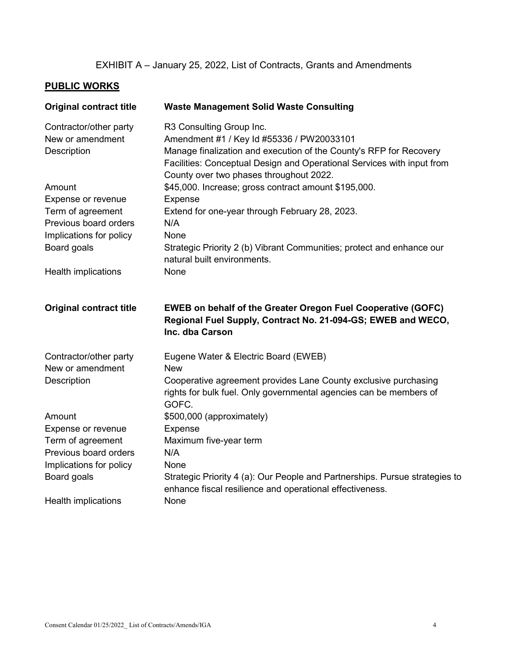## EXHIBIT A – January 25, 2022, List of Contracts, Grants and Amendments

## **PUBLIC WORKS**

| <b>Original contract title</b>             | <b>Waste Management Solid Waste Consulting</b>                                                                                                                                          |
|--------------------------------------------|-----------------------------------------------------------------------------------------------------------------------------------------------------------------------------------------|
| Contractor/other party                     | R3 Consulting Group Inc.                                                                                                                                                                |
| New or amendment                           | Amendment #1 / Key Id #55336 / PW20033101                                                                                                                                               |
| Description                                | Manage finalization and execution of the County's RFP for Recovery<br>Facilities: Conceptual Design and Operational Services with input from<br>County over two phases throughout 2022. |
| Amount                                     | \$45,000. Increase; gross contract amount \$195,000.                                                                                                                                    |
| Expense or revenue                         | <b>Expense</b>                                                                                                                                                                          |
| Term of agreement                          | Extend for one-year through February 28, 2023.                                                                                                                                          |
| Previous board orders                      | N/A                                                                                                                                                                                     |
| Implications for policy                    | None                                                                                                                                                                                    |
| Board goals                                | Strategic Priority 2 (b) Vibrant Communities; protect and enhance our<br>natural built environments.                                                                                    |
| <b>Health implications</b>                 | None                                                                                                                                                                                    |
| <b>Original contract title</b>             | <b>EWEB on behalf of the Greater Oregon Fuel Cooperative (GOFC)</b><br>Regional Fuel Supply, Contract No. 21-094-GS; EWEB and WECO,<br>Inc. dba Carson                                  |
| Contractor/other party<br>New or amendment | Eugene Water & Electric Board (EWEB)<br>New                                                                                                                                             |
| Description                                | Cooperative agreement provides Lane County exclusive purchasing<br>rights for bulk fuel. Only governmental agencies can be members of<br>GOFC.                                          |
| Amount                                     | \$500,000 (approximately)                                                                                                                                                               |
| Expense or revenue                         | Expense                                                                                                                                                                                 |
| Term of agreement                          | Maximum five-year term                                                                                                                                                                  |
| Previous board orders                      | N/A                                                                                                                                                                                     |
| Implications for policy                    | None                                                                                                                                                                                    |
| Board goals                                | Strategic Priority 4 (a): Our People and Partnerships. Pursue strategies to<br>enhance fiscal resilience and operational effectiveness.                                                 |
| <b>Health implications</b>                 | None                                                                                                                                                                                    |